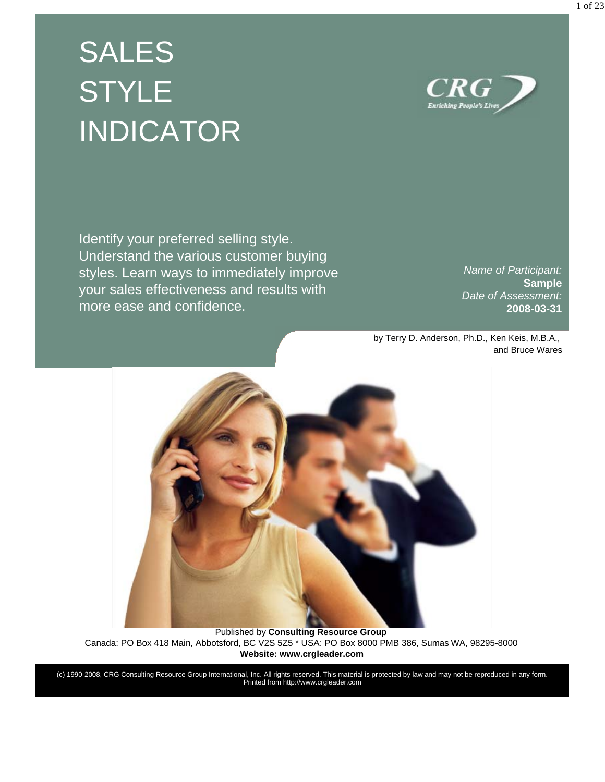# SALES **STYLE** INDICATOR

 ${\it CRG}$ **Enriching People's Lives** 

Identify your preferred selling style. Understand the various customer buying styles. Learn ways to immediately improve your sales effectiveness and results with more ease and confidence.

*Name of Participant:* **Sample** *Date of Assessment:* **2008-03-31**

by Terry D. Anderson, Ph.D., Ken Keis, M.B.A., and Bruce Wares



Published by **Consulting Resource Group** Canada: PO Box 418 Main, Abbotsford, BC V2S 5Z5 \* USA: PO Box 8000 PMB 386, Sumas WA, 98295-8000 **Website: www.crgleader.com** 

(c) 1990-2008, CRG Consulting Resource Group International, Inc. All rights reserved. This material is protected by law and may not be reproduced in any form. Printed from http://www.crgleader.com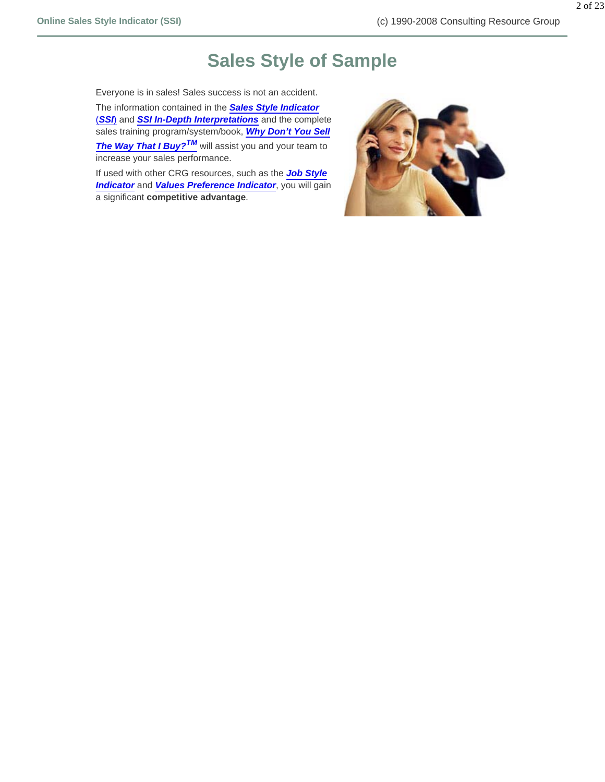## **Sales Style of Sample**

Everyone is in sales! Sales success is not an accident.

The information contained in the *Sales Style Indicator* (*SSI*) and *SSI In-Depth Interpretations* and the complete sales training program/system/book, *Why Don't You Sell The Way That I Buy?TM* will assist you and your team to increase your sales performance.

If used with other CRG resources, such as the *Job Style Indicator* and *Values Preference Indicator*, you will gain a significant **competitive advantage**.

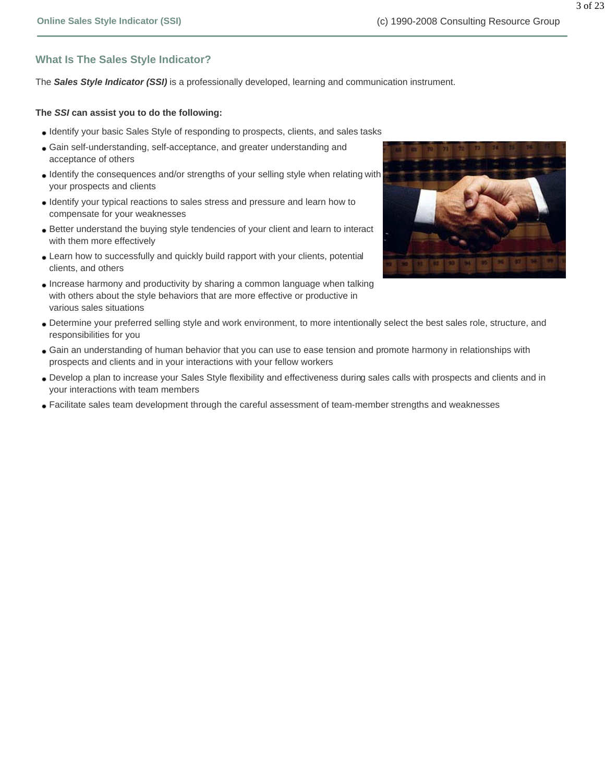#### **What Is The Sales Style Indicator?**

The *Sales Style Indicator (SSI)* is a professionally developed, learning and communication instrument.

#### **The** *SSI* **can assist you to do the following:**

- Identify your basic Sales Style of responding to prospects, clients, and sales tasks
- Gain self-understanding, self-acceptance, and greater understanding and acceptance of others
- Identify the consequences and/or strengths of your selling style when relating with your prospects and clients
- Identify your typical reactions to sales stress and pressure and learn how to compensate for your weaknesses
- Better understand the buying style tendencies of your client and learn to interact with them more effectively
- Learn how to successfully and quickly build rapport with your clients, potential clients, and others
- Increase harmony and productivity by sharing a common language when talking with others about the style behaviors that are more effective or productive in various sales situations
- Determine your preferred selling style and work environment, to more intentionally select the best sales role, structure, and responsibilities for you
- Gain an understanding of human behavior that you can use to ease tension and promote harmony in relationships with prospects and clients and in your interactions with your fellow workers
- Develop a plan to increase your Sales Style flexibility and effectiveness during sales calls with prospects and clients and in your interactions with team members
- Facilitate sales team development through the careful assessment of team-member strengths and weaknesses

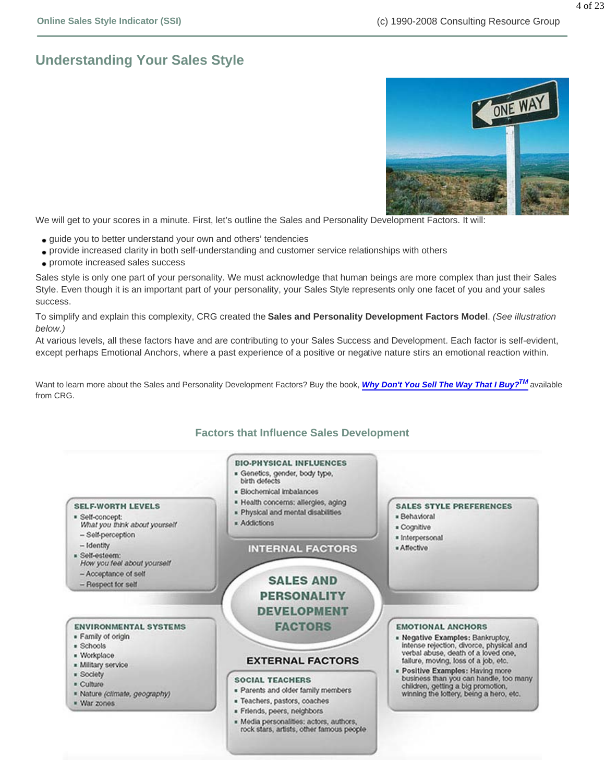## **Understanding Your Sales Style**



We will get to your scores in a minute. First, let's outline the Sales and Personality Development Factors. It will:

- guide you to better understand your own and others' tendencies
- provide increased clarity in both self-understanding and customer service relationships with others
- promote increased sales success

Sales style is only one part of your personality. We must acknowledge that human beings are more complex than just their Sales Style. Even though it is an important part of your personality, your Sales Style represents only one facet of you and your sales success.

To simplify and explain this complexity, CRG created the **Sales and Personality Development Factors Model**. *(See illustration below.)* 

At various levels, all these factors have and are contributing to your Sales Success and Development. Each factor is self-evident, except perhaps Emotional Anchors, where a past experience of a positive or negative nature stirs an emotional reaction within.

Want to learn more about the Sales and Personality Development Factors? Buy the book, **Why Don't You Sell The Way That I Buy?<sup>TM</sup>** available from CRG.

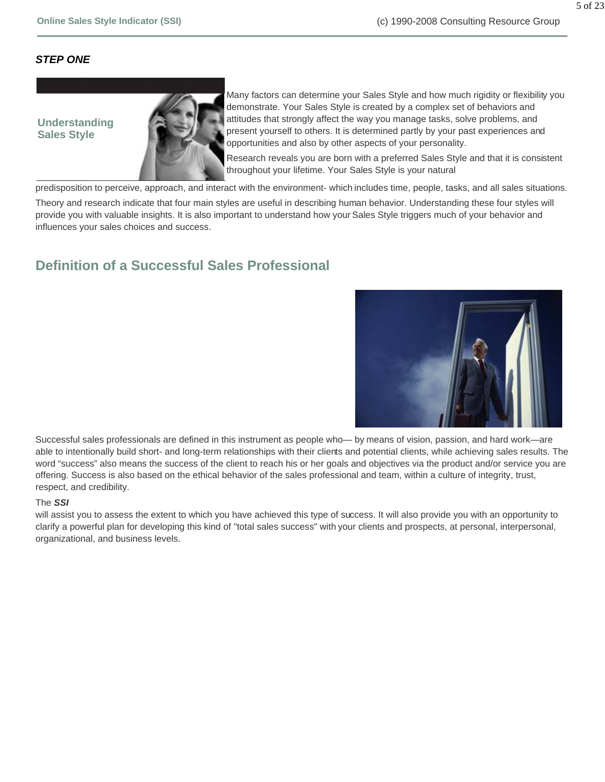#### *STEP ONE*

#### **Understanding Sales Style**



Many factors can determine your Sales Style and how much rigidity or flexibility you demonstrate. Your Sales Style is created by a complex set of behaviors and attitudes that strongly affect the way you manage tasks, solve problems, and present yourself to others. It is determined partly by your past experiences and opportunities and also by other aspects of your personality.

Research reveals you are born with a preferred Sales Style and that it is consistent throughout your lifetime. Your Sales Style is your natural

predisposition to perceive, approach, and interact with the environment- which includes time, people, tasks, and all sales situations.

Theory and research indicate that four main styles are useful in describing human behavior. Understanding these four styles will provide you with valuable insights. It is also important to understand how your Sales Style triggers much of your behavior and influences your sales choices and success.

### **Definition of a Successful Sales Professional**



Successful sales professionals are defined in this instrument as people who— by means of vision, passion, and hard work—are able to intentionally build short- and long-term relationships with their clients and potential clients, while achieving sales results. The word "success" also means the success of the client to reach his or her goals and objectives via the product and/or service you are offering. Success is also based on the ethical behavior of the sales professional and team, within a culture of integrity, trust, respect, and credibility.

#### The *SSI*

will assist you to assess the extent to which you have achieved this type of success. It will also provide you with an opportunity to clarify a powerful plan for developing this kind of "total sales success" with your clients and prospects, at personal, interpersonal, organizational, and business levels.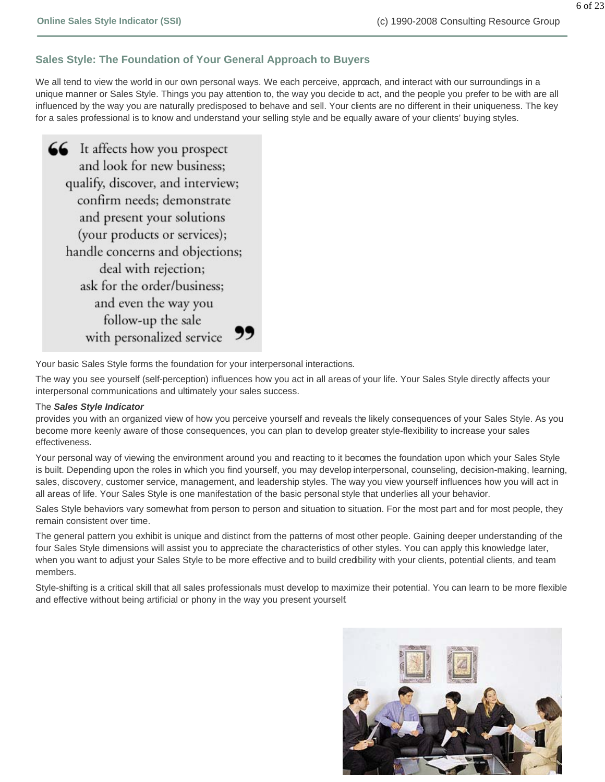#### **Sales Style: The Foundation of Your General Approach to Buyers**

We all tend to view the world in our own personal ways. We each perceive, approach, and interact with our surroundings in a unique manner or Sales Style. Things you pay attention to, the way you decide to act, and the people you prefer to be with are all influenced by the way you are naturally predisposed to behave and sell. Your clients are no different in their uniqueness. The key for a sales professional is to know and understand your selling style and be equally aware of your clients' buying styles.

66 It affects how you prospect and look for new business: qualify, discover, and interview; confirm needs; demonstrate and present your solutions (your products or services); handle concerns and objections; deal with rejection; ask for the order/business; and even the way you follow-up the sale with personalized service 99

Your basic Sales Style forms the foundation for your interpersonal interactions.

The way you see yourself (self-perception) influences how you act in all areas of your life. Your Sales Style directly affects your interpersonal communications and ultimately your sales success.

#### The *Sales Style Indicator*

provides you with an organized view of how you perceive yourself and reveals the likely consequences of your Sales Style. As you become more keenly aware of those consequences, you can plan to develop greater style-flexibility to increase your sales effectiveness.

Your personal way of viewing the environment around you and reacting to it becomes the foundation upon which your Sales Style is built. Depending upon the roles in which you find yourself, you may develop interpersonal, counseling, decision-making, learning, sales, discovery, customer service, management, and leadership styles. The way you view yourself influences how you will act in all areas of life. Your Sales Style is one manifestation of the basic personal style that underlies all your behavior.

Sales Style behaviors vary somewhat from person to person and situation to situation. For the most part and for most people, they remain consistent over time.

The general pattern you exhibit is unique and distinct from the patterns of most other people. Gaining deeper understanding of the four Sales Style dimensions will assist you to appreciate the characteristics of other styles. You can apply this knowledge later, when you want to adjust your Sales Style to be more effective and to build credibility with your clients, potential clients, and team members.

Style-shifting is a critical skill that all sales professionals must develop to maximize their potential. You can learn to be more flexible and effective without being artificial or phony in the way you present yourself.

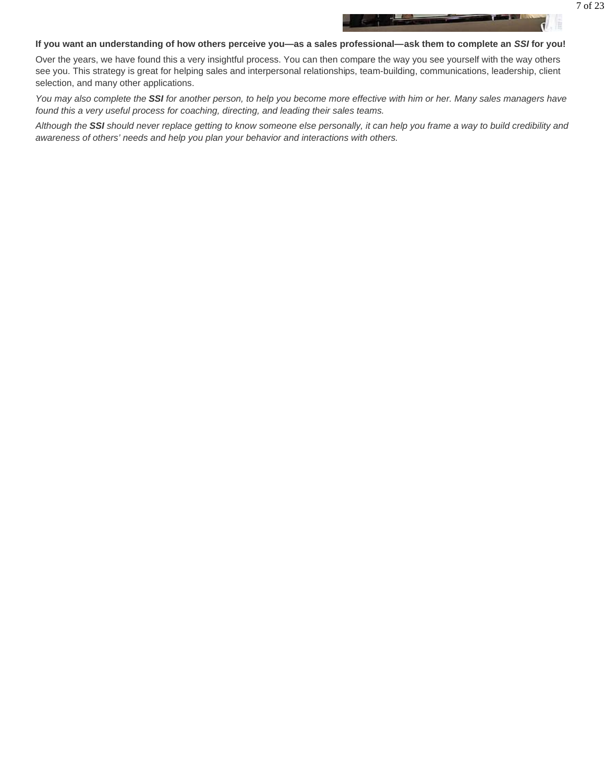#### **If you want an understanding of how others perceive you—as a sales professional—ask them to complete an** *SSI* **for you!**

Over the years, we have found this a very insightful process. You can then compare the way you see yourself with the way others see you. This strategy is great for helping sales and interpersonal relationships, team-building, communications, leadership, client selection, and many other applications.

*You may also complete the SSI for another person, to help you become more effective with him or her. Many sales managers have found this a very useful process for coaching, directing, and leading their sales teams.*

*Although the SSI should never replace getting to know someone else personally, it can help you frame a way to build credibility and awareness of others' needs and help you plan your behavior and interactions with others.*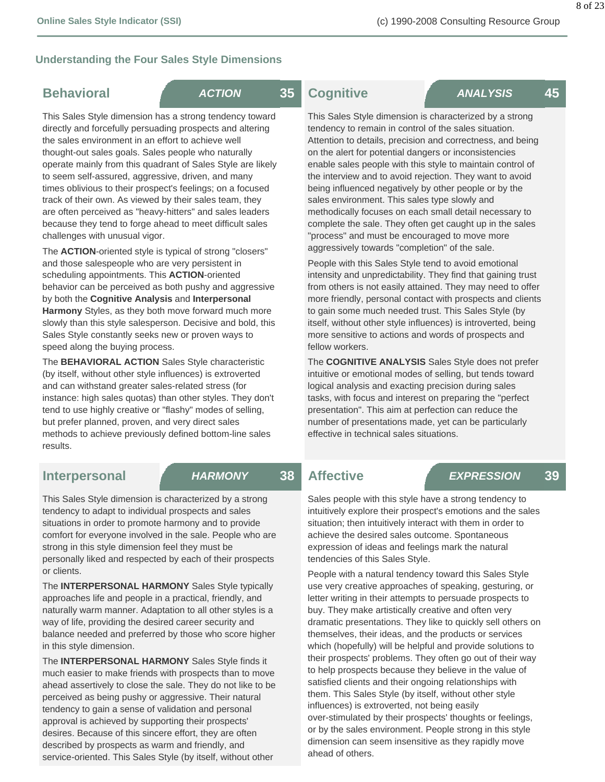#### **Understanding the Four Sales Style Dimensions**

### **Behavioral** *ACTION* **35**

This Sales Style dimension has a strong tendency toward directly and forcefully persuading prospects and altering the sales environment in an effort to achieve well thought-out sales goals. Sales people who naturally operate mainly from this quadrant of Sales Style are likely to seem self-assured, aggressive, driven, and many times oblivious to their prospect's feelings; on a focused track of their own. As viewed by their sales team, they are often perceived as "heavy-hitters" and sales leaders because they tend to forge ahead to meet difficult sales challenges with unusual vigor.

The **ACTION**-oriented style is typical of strong "closers" and those salespeople who are very persistent in scheduling appointments. This **ACTION**-oriented behavior can be perceived as both pushy and aggressive by both the **Cognitive Analysis** and **Interpersonal Harmony** Styles, as they both move forward much more slowly than this style salesperson. Decisive and bold, this Sales Style constantly seeks new or proven ways to speed along the buying process.

The **BEHAVIORAL ACTION** Sales Style characteristic (by itself, without other style influences) is extroverted and can withstand greater sales-related stress (for instance: high sales quotas) than other styles. They don't tend to use highly creative or "flashy" modes of selling, but prefer planned, proven, and very direct sales methods to achieve previously defined bottom-line sales results.

 **Cognitive** *ANALYSIS* **45**

This Sales Style dimension is characterized by a strong tendency to remain in control of the sales situation. Attention to details, precision and correctness, and being on the alert for potential dangers or inconsistencies enable sales people with this style to maintain control of the interview and to avoid rejection. They want to avoid being influenced negatively by other people or by the sales environment. This sales type slowly and methodically focuses on each small detail necessary to complete the sale. They often get caught up in the sales "process" and must be encouraged to move more aggressively towards "completion" of the sale.

People with this Sales Style tend to avoid emotional intensity and unpredictability. They find that gaining trust from others is not easily attained. They may need to offer more friendly, personal contact with prospects and clients to gain some much needed trust. This Sales Style (by itself, without other style influences) is introverted, being more sensitive to actions and words of prospects and fellow workers.

The **COGNITIVE ANALYSIS** Sales Style does not prefer intuitive or emotional modes of selling, but tends toward logical analysis and exacting precision during sales tasks, with focus and interest on preparing the "perfect presentation". This aim at perfection can reduce the number of presentations made, yet can be particularly effective in technical sales situations.

### **Interpersonal** *HARMONY* **38**

This Sales Style dimension is characterized by a strong tendency to adapt to individual prospects and sales situations in order to promote harmony and to provide comfort for everyone involved in the sale. People who are strong in this style dimension feel they must be personally liked and respected by each of their prospects or clients.

The **INTERPERSONAL HARMONY** Sales Style typically approaches life and people in a practical, friendly, and naturally warm manner. Adaptation to all other styles is a way of life, providing the desired career security and balance needed and preferred by those who score higher in this style dimension.

The **INTERPERSONAL HARMONY** Sales Style finds it much easier to make friends with prospects than to move ahead assertively to close the sale. They do not like to be perceived as being pushy or aggressive. Their natural tendency to gain a sense of validation and personal approval is achieved by supporting their prospects' desires. Because of this sincere effort, they are often described by prospects as warm and friendly, and service-oriented. This Sales Style (by itself, without other

### **Affective** *EXPRESSION* **39**

Sales people with this style have a strong tendency to intuitively explore their prospect's emotions and the sales situation; then intuitively interact with them in order to achieve the desired sales outcome. Spontaneous expression of ideas and feelings mark the natural tendencies of this Sales Style.

People with a natural tendency toward this Sales Style use very creative approaches of speaking, gesturing, or letter writing in their attempts to persuade prospects to buy. They make artistically creative and often very dramatic presentations. They like to quickly sell others on themselves, their ideas, and the products or services which (hopefully) will be helpful and provide solutions to their prospects' problems. They often go out of their way to help prospects because they believe in the value of satisfied clients and their ongoing relationships with them. This Sales Style (by itself, without other style influences) is extroverted, not being easily over-stimulated by their prospects' thoughts or feelings, or by the sales environment. People strong in this style dimension can seem insensitive as they rapidly move ahead of others.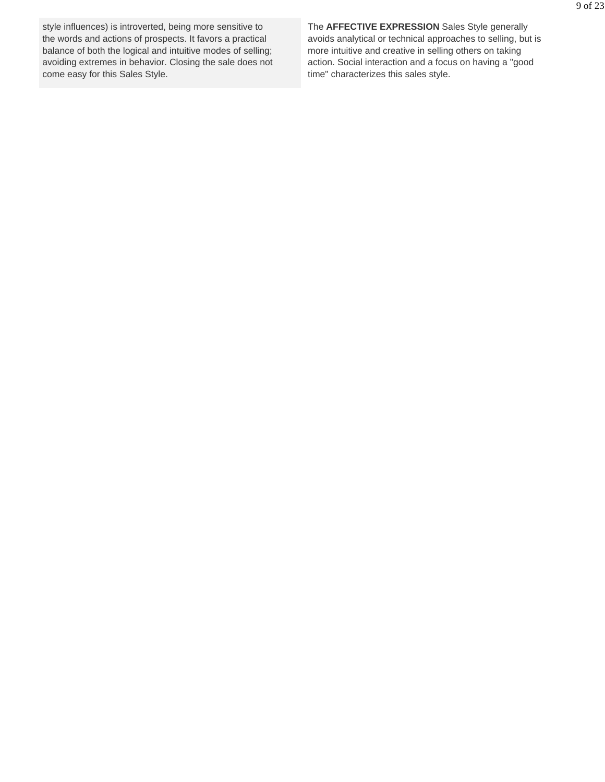style influences) is introverted, being more sensitive to the words and actions of prospects. It favors a practical balance of both the logical and intuitive modes of selling; avoiding extremes in behavior. Closing the sale does not come easy for this Sales Style.

The **AFFECTIVE EXPRESSION** Sales Style generally avoids analytical or technical approaches to selling, but is more intuitive and creative in selling others on taking action. Social interaction and a focus on having a "good time" characterizes this sales style.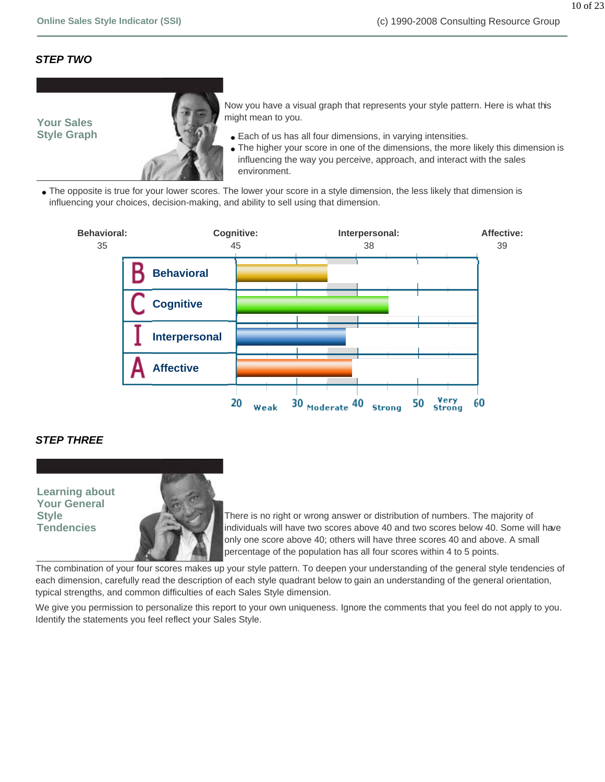#### *STEP TWO*



Now you have a visual graph that represents your style pattern. Here is what this might mean to you.

- Each of us has all four dimensions, in varying intensities.
- The higher your score in one of the dimensions, the more likely this dimension is influencing the way you perceive, approach, and interact with the sales environment.
- The opposite is true for your lower scores. The lower your score in a style dimension, the less likely that dimension is influencing your choices, decision-making, and ability to sell using that dimension.



#### *STEP THREE*

**Learning about Your General Style Tendencies**



There is no right or wrong answer or distribution of numbers. The majority of individuals will have two scores above 40 and two scores below 40. Some will have only one score above 40; others will have three scores 40 and above. A small percentage of the population has all four scores within 4 to 5 points.

The combination of your four scores makes up your style pattern. To deepen your understanding of the general style tendencies of each dimension, carefully read the description of each style quadrant below to gain an understanding of the general orientation, typical strengths, and common difficulties of each Sales Style dimension.

We give you permission to personalize this report to your own uniqueness. Ignore the comments that you feel do not apply to you. Identify the statements you feel reflect your Sales Style.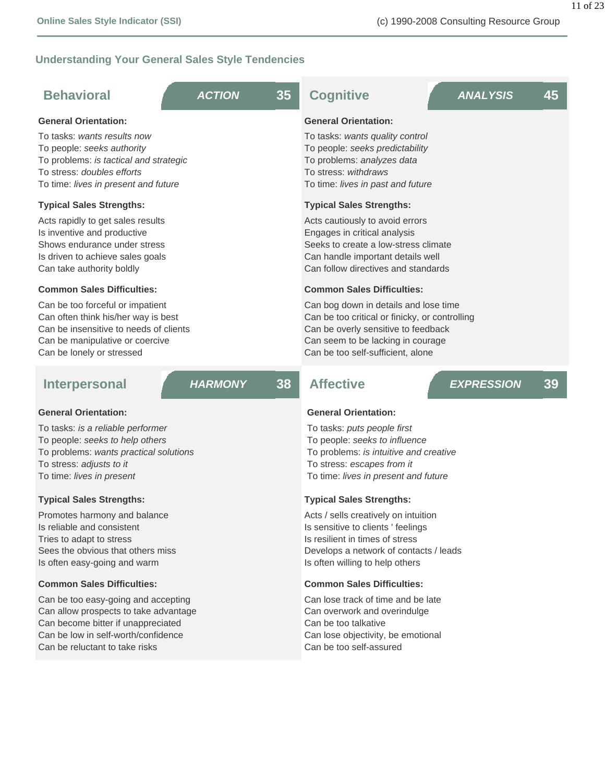11 of 23

### **Understanding Your General Sales Style Tendencies**

| <b>Behavioral</b>                                                                                                                                                                 | <b>ACTION</b>  | 35 | <b>Cognitive</b>                                                                                                                                                                                         |  | <b>ANALYSIS</b>   | 45 |
|-----------------------------------------------------------------------------------------------------------------------------------------------------------------------------------|----------------|----|----------------------------------------------------------------------------------------------------------------------------------------------------------------------------------------------------------|--|-------------------|----|
| <b>General Orientation:</b>                                                                                                                                                       |                |    | <b>General Orientation:</b>                                                                                                                                                                              |  |                   |    |
| To tasks: wants results now<br>To people: seeks authority<br>To problems: is tactical and strategic<br>To stress: doubles efforts<br>To time: lives in present and future         |                |    | To tasks: wants quality control<br>To people: seeks predictability<br>To problems: analyzes data<br>To stress: withdraws<br>To time: lives in past and future                                            |  |                   |    |
| <b>Typical Sales Strengths:</b>                                                                                                                                                   |                |    | <b>Typical Sales Strengths:</b>                                                                                                                                                                          |  |                   |    |
| Acts rapidly to get sales results<br>Is inventive and productive<br>Shows endurance under stress<br>Is driven to achieve sales goals<br>Can take authority boldly                 |                |    | Acts cautiously to avoid errors<br>Engages in critical analysis<br>Seeks to create a low-stress climate<br>Can handle important details well<br>Can follow directives and standards                      |  |                   |    |
| <b>Common Sales Difficulties:</b>                                                                                                                                                 |                |    | <b>Common Sales Difficulties:</b>                                                                                                                                                                        |  |                   |    |
| Can be too forceful or impatient<br>Can often think his/her way is best<br>Can be insensitive to needs of clients<br>Can be manipulative or coercive<br>Can be lonely or stressed |                |    | Can bog down in details and lose time<br>Can be too critical or finicky, or controlling<br>Can be overly sensitive to feedback<br>Can seem to be lacking in courage<br>Can be too self-sufficient, alone |  |                   |    |
| <b>Interpersonal</b>                                                                                                                                                              | <b>HARMONY</b> | 38 | <b>Affective</b>                                                                                                                                                                                         |  | <b>EXPRESSION</b> | 39 |
| <b>General Orientation:</b>                                                                                                                                                       |                |    | <b>General Orientation:</b>                                                                                                                                                                              |  |                   |    |
| To tasks: is a reliable performer<br>To people: seeks to help others<br>To problems: wants practical solutions<br>To stress: adjusts to it<br>To time: lives in present           |                |    | To tasks: puts people first<br>To people: seeks to influence<br>To problems: is intuitive and creative<br>To stress: escapes from it<br>To time: lives in present and future                             |  |                   |    |
| <b>Typical Sales Strengths:</b>                                                                                                                                                   |                |    | <b>Typical Sales Strengths:</b>                                                                                                                                                                          |  |                   |    |
| Promotes harmony and balance<br>Is reliable and consistent<br>Tries to adapt to stress<br>Sees the obvious that others miss<br>Is often easy-going and warm                       |                |    | Acts / sells creatively on intuition<br>Is sensitive to clients ' feelings<br>Is resilient in times of stress<br>Develops a network of contacts / leads<br>Is often willing to help others               |  |                   |    |

#### **Common Sales Difficulties:**

Can be too easy-going and accepting Can allow prospects to take advantage Can become bitter if unappreciated Can be low in self-worth/confidence Can be reluctant to take risks

#### **Common Sales Difficulties:**

Can lose track of time and be late Can overwork and overindulge Can be too talkative Can lose objectivity, be emotional Can be too self-assured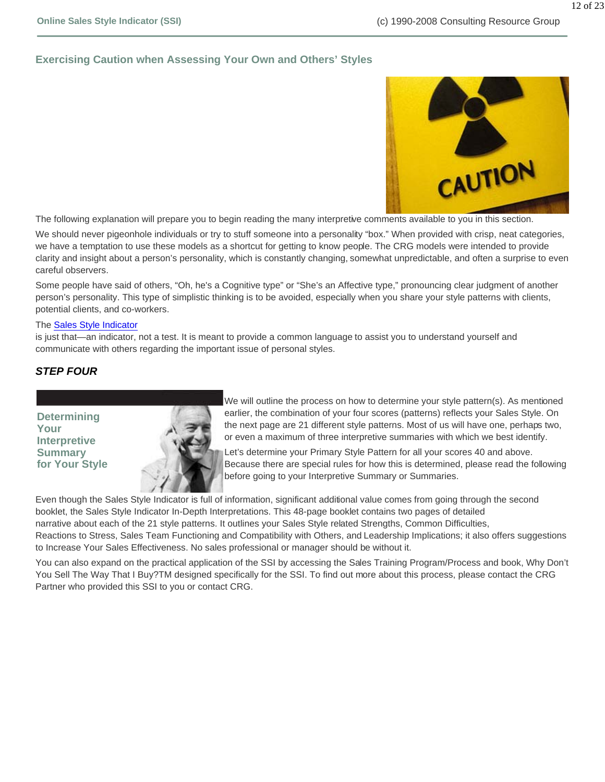#### **Exercising Caution when Assessing Your Own and Others' Styles**



The following explanation will prepare you to begin reading the many interpretive comments available to you in this section.

We should never pigeonhole individuals or try to stuff someone into a personality "box." When provided with crisp, neat categories, we have a temptation to use these models as a shortcut for getting to know people. The CRG models were intended to provide clarity and insight about a person's personality, which is constantly changing, somewhat unpredictable, and often a surprise to even careful observers.

Some people have said of others, "Oh, he's a Cognitive type" or "She's an Affective type," pronouncing clear judgment of another person's personality. This type of simplistic thinking is to be avoided, especially when you share your style patterns with clients, potential clients, and co-workers.

#### The Sales Style Indicator

is just that—an indicator, not a test. It is meant to provide a common language to assist you to understand yourself and communicate with others regarding the important issue of personal styles.

#### *STEP FOUR*

**Determining Your Interpretive Summary for Your Style**



We will outline the process on how to determine your style pattern(s). As mentioned earlier, the combination of your four scores (patterns) reflects your Sales Style. On the next page are 21 different style patterns. Most of us will have one, perhaps two, or even a maximum of three interpretive summaries with which we best identify.

Let's determine your Primary Style Pattern for all your scores 40 and above. Because there are special rules for how this is determined, please read the following before going to your Interpretive Summary or Summaries.

Even though the Sales Style Indicator is full of information, significant additional value comes from going through the second booklet, the Sales Style Indicator In-Depth Interpretations. This 48-page booklet contains two pages of detailed narrative about each of the 21 style patterns. It outlines your Sales Style related Strengths, Common Difficulties, Reactions to Stress, Sales Team Functioning and Compatibility with Others, and Leadership Implications; it also offers suggestions to Increase Your Sales Effectiveness. No sales professional or manager should be without it.

You can also expand on the practical application of the SSI by accessing the Sales Training Program/Process and book, Why Don't You Sell The Way That I Buy?TM designed specifically for the SSI. To find out more about this process, please contact the CRG Partner who provided this SSI to you or contact CRG.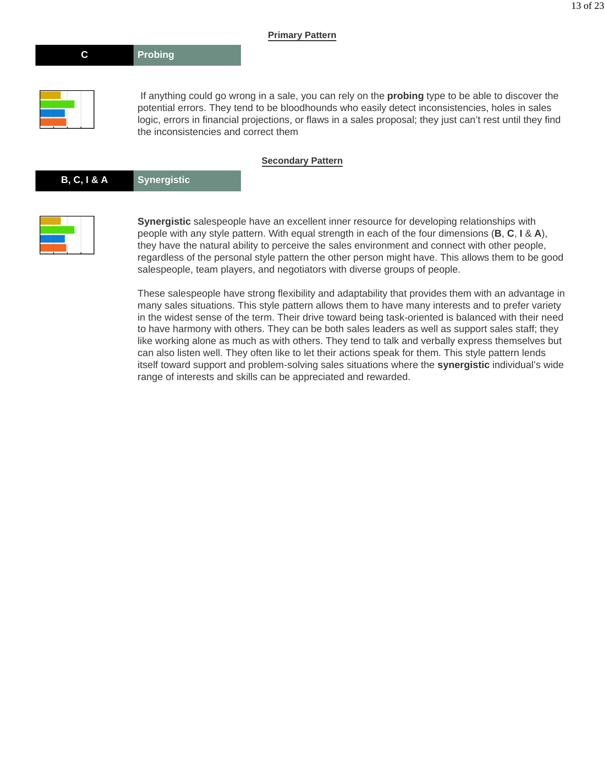#### **Primary Pattern**





 If anything could go wrong in a sale, you can rely on the **probing** type to be able to discover the potential errors. They tend to be bloodhounds who easily detect inconsistencies, holes in sales logic, errors in financial projections, or flaws in a sales proposal; they just can't rest until they find the inconsistencies and correct them

#### **Secondary Pattern**

| B, C, I & A | Synergistic |
|-------------|-------------|
|-------------|-------------|



**Synergistic** salespeople have an excellent inner resource for developing relationships with people with any style pattern. With equal strength in each of the four dimensions (**B**, **C**, **I** & **A**), they have the natural ability to perceive the sales environment and connect with other people, regardless of the personal style pattern the other person might have. This allows them to be good salespeople, team players, and negotiators with diverse groups of people.

These salespeople have strong flexibility and adaptability that provides them with an advantage in many sales situations. This style pattern allows them to have many interests and to prefer variety in the widest sense of the term. Their drive toward being task-oriented is balanced with their need to have harmony with others. They can be both sales leaders as well as support sales staff; they like working alone as much as with others. They tend to talk and verbally express themselves but can also listen well. They often like to let their actions speak for them. This style pattern lends itself toward support and problem-solving sales situations where the **synergistic** individual's wide range of interests and skills can be appreciated and rewarded.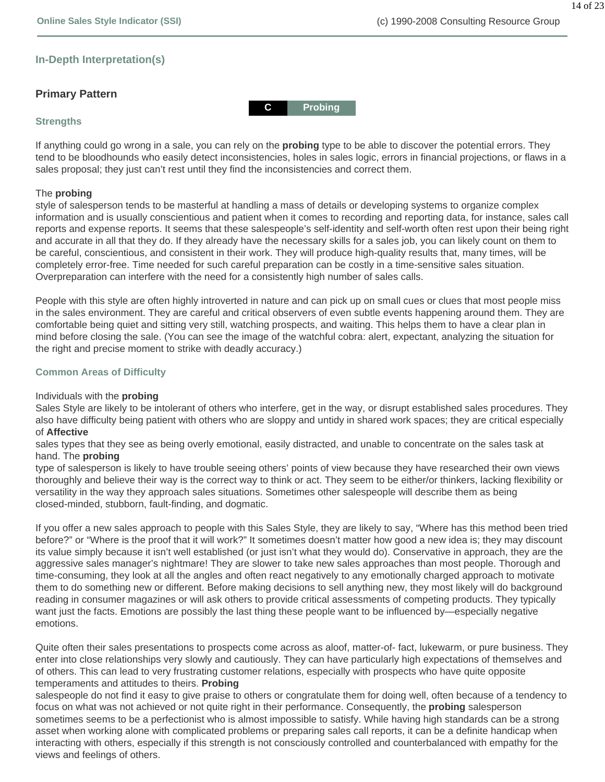14 of 23

#### **In-Depth Interpretation(s)**

#### **Primary Pattern**

#### **Strengths**

If anything could go wrong in a sale, you can rely on the **probing** type to be able to discover the potential errors. They tend to be bloodhounds who easily detect inconsistencies, holes in sales logic, errors in financial projections, or flaws in a sales proposal; they just can't rest until they find the inconsistencies and correct them.

**C Probing**

#### The **probing**

style of salesperson tends to be masterful at handling a mass of details or developing systems to organize complex information and is usually conscientious and patient when it comes to recording and reporting data, for instance, sales call reports and expense reports. It seems that these salespeople's self-identity and self-worth often rest upon their being right and accurate in all that they do. If they already have the necessary skills for a sales job, you can likely count on them to be careful, conscientious, and consistent in their work. They will produce high-quality results that, many times, will be completely error-free. Time needed for such careful preparation can be costly in a time-sensitive sales situation. Overpreparation can interfere with the need for a consistently high number of sales calls.

People with this style are often highly introverted in nature and can pick up on small cues or clues that most people miss in the sales environment. They are careful and critical observers of even subtle events happening around them. They are comfortable being quiet and sitting very still, watching prospects, and waiting. This helps them to have a clear plan in mind before closing the sale. (You can see the image of the watchful cobra: alert, expectant, analyzing the situation for the right and precise moment to strike with deadly accuracy.)

#### **Common Areas of Difficulty**

#### Individuals with the **probing**

Sales Style are likely to be intolerant of others who interfere, get in the way, or disrupt established sales procedures. They also have difficulty being patient with others who are sloppy and untidy in shared work spaces; they are critical especially of **Affective** 

sales types that they see as being overly emotional, easily distracted, and unable to concentrate on the sales task at hand. The **probing** 

type of salesperson is likely to have trouble seeing others' points of view because they have researched their own views thoroughly and believe their way is the correct way to think or act. They seem to be either/or thinkers, lacking flexibility or versatility in the way they approach sales situations. Sometimes other salespeople will describe them as being closed-minded, stubborn, fault-finding, and dogmatic.

If you offer a new sales approach to people with this Sales Style, they are likely to say, "Where has this method been tried before?" or "Where is the proof that it will work?" It sometimes doesn't matter how good a new idea is; they may discount its value simply because it isn't well established (or just isn't what they would do). Conservative in approach, they are the aggressive sales manager's nightmare! They are slower to take new sales approaches than most people. Thorough and time-consuming, they look at all the angles and often react negatively to any emotionally charged approach to motivate them to do something new or different. Before making decisions to sell anything new, they most likely will do background reading in consumer magazines or will ask others to provide critical assessments of competing products. They typically want just the facts. Emotions are possibly the last thing these people want to be influenced by—especially negative emotions.

Quite often their sales presentations to prospects come across as aloof, matter-of- fact, lukewarm, or pure business. They enter into close relationships very slowly and cautiously. They can have particularly high expectations of themselves and of others. This can lead to very frustrating customer relations, especially with prospects who have quite opposite temperaments and attitudes to theirs. **Probing** 

salespeople do not find it easy to give praise to others or congratulate them for doing well, often because of a tendency to focus on what was not achieved or not quite right in their performance. Consequently, the **probing** salesperson sometimes seems to be a perfectionist who is almost impossible to satisfy. While having high standards can be a strong asset when working alone with complicated problems or preparing sales call reports, it can be a definite handicap when interacting with others, especially if this strength is not consciously controlled and counterbalanced with empathy for the views and feelings of others.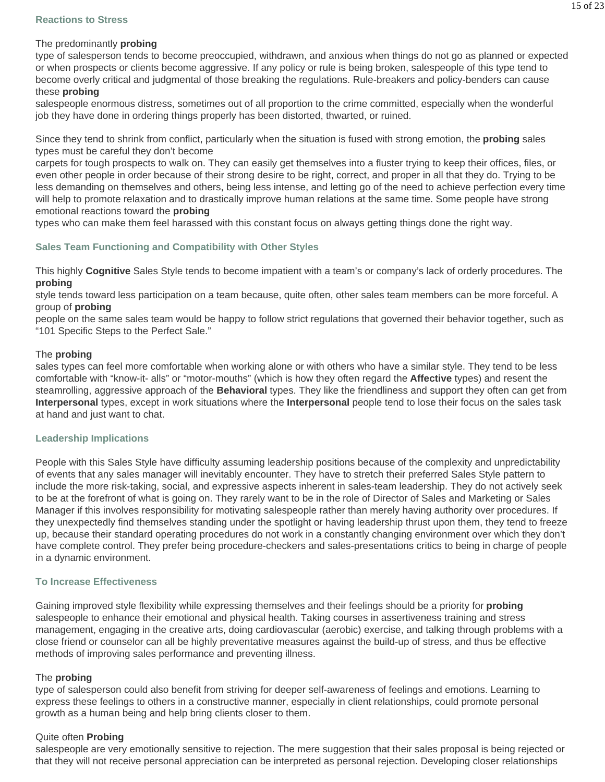type of salesperson tends to become preoccupied, withdrawn, and anxious when things do not go as planned or expected or when prospects or clients become aggressive. If any policy or rule is being broken, salespeople of this type tend to become overly critical and judgmental of those breaking the regulations. Rule-breakers and policy-benders can cause these **probing**

salespeople enormous distress, sometimes out of all proportion to the crime committed, especially when the wonderful job they have done in ordering things properly has been distorted, thwarted, or ruined.

Since they tend to shrink from conflict, particularly when the situation is fused with strong emotion, the **probing** sales types must be careful they don't become

carpets for tough prospects to walk on. They can easily get themselves into a fluster trying to keep their offices, files, or even other people in order because of their strong desire to be right, correct, and proper in all that they do. Trying to be less demanding on themselves and others, being less intense, and letting go of the need to achieve perfection every time will help to promote relaxation and to drastically improve human relations at the same time. Some people have strong emotional reactions toward the **probing**

types who can make them feel harassed with this constant focus on always getting things done the right way.

#### **Sales Team Functioning and Compatibility with Other Styles**

This highly **Cognitive** Sales Style tends to become impatient with a team's or company's lack of orderly procedures. The **probing** 

style tends toward less participation on a team because, quite often, other sales team members can be more forceful. A group of **probing**

people on the same sales team would be happy to follow strict regulations that governed their behavior together, such as "101 Specific Steps to the Perfect Sale."

#### The **probing**

sales types can feel more comfortable when working alone or with others who have a similar style. They tend to be less comfortable with "know-it- alls" or "motor-mouths" (which is how they often regard the **Affective** types) and resent the steamrolling, aggressive approach of the **Behavioral** types. They like the friendliness and support they often can get from **Interpersonal** types, except in work situations where the **Interpersonal** people tend to lose their focus on the sales task at hand and just want to chat.

#### **Leadership Implications**

People with this Sales Style have difficulty assuming leadership positions because of the complexity and unpredictability of events that any sales manager will inevitably encounter. They have to stretch their preferred Sales Style pattern to include the more risk-taking, social, and expressive aspects inherent in sales-team leadership. They do not actively seek to be at the forefront of what is going on. They rarely want to be in the role of Director of Sales and Marketing or Sales Manager if this involves responsibility for motivating salespeople rather than merely having authority over procedures. If they unexpectedly find themselves standing under the spotlight or having leadership thrust upon them, they tend to freeze up, because their standard operating procedures do not work in a constantly changing environment over which they don't have complete control. They prefer being procedure-checkers and sales-presentations critics to being in charge of people in a dynamic environment.

#### **To Increase Effectiveness**

Gaining improved style flexibility while expressing themselves and their feelings should be a priority for **probing** salespeople to enhance their emotional and physical health. Taking courses in assertiveness training and stress management, engaging in the creative arts, doing cardiovascular (aerobic) exercise, and talking through problems with a close friend or counselor can all be highly preventative measures against the build-up of stress, and thus be effective methods of improving sales performance and preventing illness.

#### The **probing**

type of salesperson could also benefit from striving for deeper self-awareness of feelings and emotions. Learning to express these feelings to others in a constructive manner, especially in client relationships, could promote personal growth as a human being and help bring clients closer to them.

#### Quite often **Probing**

salespeople are very emotionally sensitive to rejection. The mere suggestion that their sales proposal is being rejected or that they will not receive personal appreciation can be interpreted as personal rejection. Developing closer relationships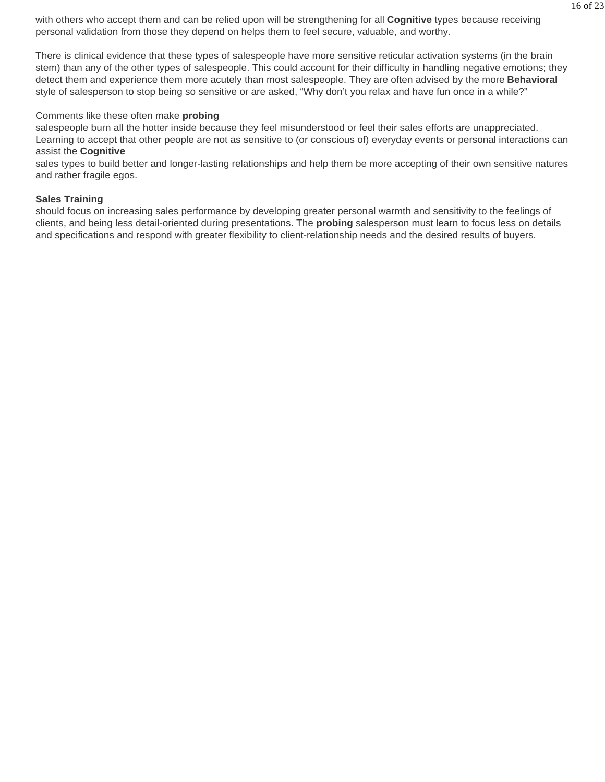with others who accept them and can be relied upon will be strengthening for all **Cognitive** types because receiving personal validation from those they depend on helps them to feel secure, valuable, and worthy.

There is clinical evidence that these types of salespeople have more sensitive reticular activation systems (in the brain stem) than any of the other types of salespeople. This could account for their difficulty in handling negative emotions; they detect them and experience them more acutely than most salespeople. They are often advised by the more **Behavioral**  style of salesperson to stop being so sensitive or are asked, "Why don't you relax and have fun once in a while?"

#### Comments like these often make **probing**

salespeople burn all the hotter inside because they feel misunderstood or feel their sales efforts are unappreciated. Learning to accept that other people are not as sensitive to (or conscious of) everyday events or personal interactions can assist the **Cognitive** 

sales types to build better and longer-lasting relationships and help them be more accepting of their own sensitive natures and rather fragile egos.

#### **Sales Training**

should focus on increasing sales performance by developing greater personal warmth and sensitivity to the feelings of clients, and being less detail-oriented during presentations. The **probing** salesperson must learn to focus less on details and specifications and respond with greater flexibility to client-relationship needs and the desired results of buyers.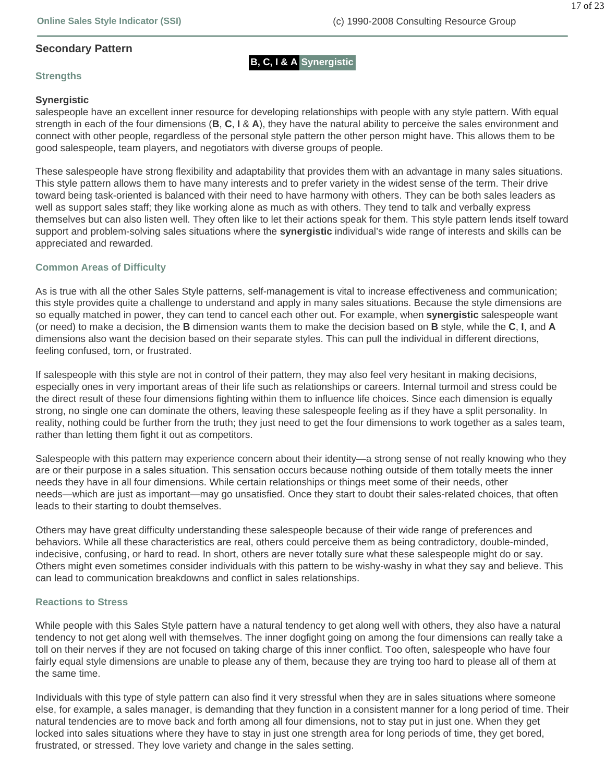#### **Secondary Pattern**

**B, C, I & A Synergistic**

#### **Strengths**

#### **Synergistic**

salespeople have an excellent inner resource for developing relationships with people with any style pattern. With equal strength in each of the four dimensions (**B**, **C**, **I** & **A**), they have the natural ability to perceive the sales environment and connect with other people, regardless of the personal style pattern the other person might have. This allows them to be good salespeople, team players, and negotiators with diverse groups of people.

These salespeople have strong flexibility and adaptability that provides them with an advantage in many sales situations. This style pattern allows them to have many interests and to prefer variety in the widest sense of the term. Their drive toward being task-oriented is balanced with their need to have harmony with others. They can be both sales leaders as well as support sales staff; they like working alone as much as with others. They tend to talk and verbally express themselves but can also listen well. They often like to let their actions speak for them. This style pattern lends itself toward support and problem-solving sales situations where the **synergistic** individual's wide range of interests and skills can be appreciated and rewarded.

#### **Common Areas of Difficulty**

As is true with all the other Sales Style patterns, self-management is vital to increase effectiveness and communication; this style provides quite a challenge to understand and apply in many sales situations. Because the style dimensions are so equally matched in power, they can tend to cancel each other out. For example, when **synergistic** salespeople want (or need) to make a decision, the **B** dimension wants them to make the decision based on **B** style, while the **C**, **I**, and **A**  dimensions also want the decision based on their separate styles. This can pull the individual in different directions, feeling confused, torn, or frustrated.

If salespeople with this style are not in control of their pattern, they may also feel very hesitant in making decisions, especially ones in very important areas of their life such as relationships or careers. Internal turmoil and stress could be the direct result of these four dimensions fighting within them to influence life choices. Since each dimension is equally strong, no single one can dominate the others, leaving these salespeople feeling as if they have a split personality. In reality, nothing could be further from the truth; they just need to get the four dimensions to work together as a sales team, rather than letting them fight it out as competitors.

Salespeople with this pattern may experience concern about their identity—a strong sense of not really knowing who they are or their purpose in a sales situation. This sensation occurs because nothing outside of them totally meets the inner needs they have in all four dimensions. While certain relationships or things meet some of their needs, other needs—which are just as important—may go unsatisfied. Once they start to doubt their sales-related choices, that often leads to their starting to doubt themselves.

Others may have great difficulty understanding these salespeople because of their wide range of preferences and behaviors. While all these characteristics are real, others could perceive them as being contradictory, double-minded, indecisive, confusing, or hard to read. In short, others are never totally sure what these salespeople might do or say. Others might even sometimes consider individuals with this pattern to be wishy-washy in what they say and believe. This can lead to communication breakdowns and conflict in sales relationships.

#### **Reactions to Stress**

While people with this Sales Style pattern have a natural tendency to get along well with others, they also have a natural tendency to not get along well with themselves. The inner dogfight going on among the four dimensions can really take a toll on their nerves if they are not focused on taking charge of this inner conflict. Too often, salespeople who have four fairly equal style dimensions are unable to please any of them, because they are trying too hard to please all of them at the same time.

Individuals with this type of style pattern can also find it very stressful when they are in sales situations where someone else, for example, a sales manager, is demanding that they function in a consistent manner for a long period of time. Their natural tendencies are to move back and forth among all four dimensions, not to stay put in just one. When they get locked into sales situations where they have to stay in just one strength area for long periods of time, they get bored, frustrated, or stressed. They love variety and change in the sales setting.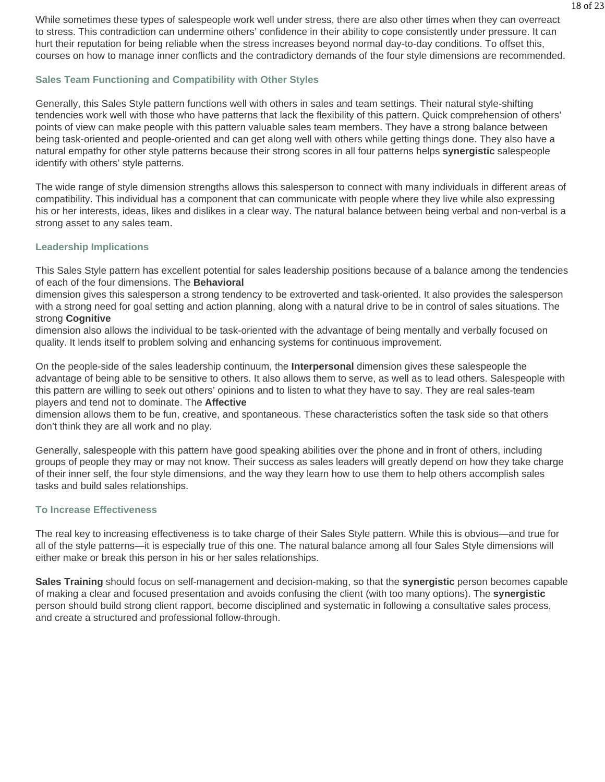While sometimes these types of salespeople work well under stress, there are also other times when they can overreact to stress. This contradiction can undermine others' confidence in their ability to cope consistently under pressure. It can hurt their reputation for being reliable when the stress increases beyond normal day-to-day conditions. To offset this, courses on how to manage inner conflicts and the contradictory demands of the four style dimensions are recommended.

#### **Sales Team Functioning and Compatibility with Other Styles**

Generally, this Sales Style pattern functions well with others in sales and team settings. Their natural style-shifting tendencies work well with those who have patterns that lack the flexibility of this pattern. Quick comprehension of others' points of view can make people with this pattern valuable sales team members. They have a strong balance between being task-oriented and people-oriented and can get along well with others while getting things done. They also have a natural empathy for other style patterns because their strong scores in all four patterns helps **synergistic** salespeople identify with others' style patterns.

The wide range of style dimension strengths allows this salesperson to connect with many individuals in different areas of compatibility. This individual has a component that can communicate with people where they live while also expressing his or her interests, ideas, likes and dislikes in a clear way. The natural balance between being verbal and non-verbal is a strong asset to any sales team.

#### **Leadership Implications**

This Sales Style pattern has excellent potential for sales leadership positions because of a balance among the tendencies of each of the four dimensions. The **Behavioral**

dimension gives this salesperson a strong tendency to be extroverted and task-oriented. It also provides the salesperson with a strong need for goal setting and action planning, along with a natural drive to be in control of sales situations. The strong **Cognitive**

dimension also allows the individual to be task-oriented with the advantage of being mentally and verbally focused on quality. It lends itself to problem solving and enhancing systems for continuous improvement.

On the people-side of the sales leadership continuum, the **Interpersonal** dimension gives these salespeople the advantage of being able to be sensitive to others. It also allows them to serve, as well as to lead others. Salespeople with this pattern are willing to seek out others' opinions and to listen to what they have to say. They are real sales-team players and tend not to dominate. The **Affective**

dimension allows them to be fun, creative, and spontaneous. These characteristics soften the task side so that others don't think they are all work and no play.

Generally, salespeople with this pattern have good speaking abilities over the phone and in front of others, including groups of people they may or may not know. Their success as sales leaders will greatly depend on how they take charge of their inner self, the four style dimensions, and the way they learn how to use them to help others accomplish sales tasks and build sales relationships.

#### **To Increase Effectiveness**

The real key to increasing effectiveness is to take charge of their Sales Style pattern. While this is obvious—and true for all of the style patterns—it is especially true of this one. The natural balance among all four Sales Style dimensions will either make or break this person in his or her sales relationships.

**Sales Training** should focus on self-management and decision-making, so that the **synergistic** person becomes capable of making a clear and focused presentation and avoids confusing the client (with too many options). The **synergistic**  person should build strong client rapport, become disciplined and systematic in following a consultative sales process, and create a structured and professional follow-through.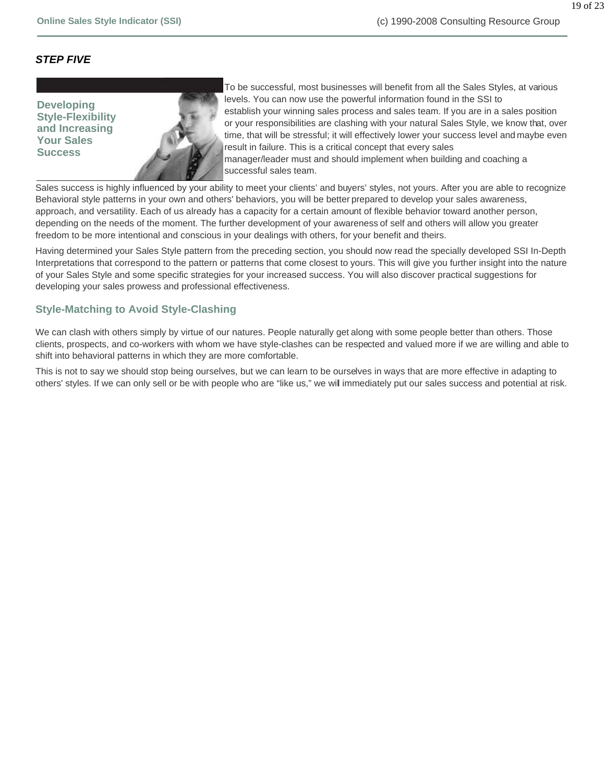#### *STEP FIVE*

**Developing Style-Flexibility and Increasing Your Sales Success**



To be successful, most businesses will benefit from all the Sales Styles, at various levels. You can now use the powerful information found in the SSI to establish your winning sales process and sales team. If you are in a sales position or your responsibilities are clashing with your natural Sales Style, we know that, over time, that will be stressful; it will effectively lower your success level and maybe even result in failure. This is a critical concept that every sales manager/leader must and should implement when building and coaching a successful sales team.

Sales success is highly influenced by your ability to meet your clients' and buyers' styles, not yours. After you are able to recognize Behavioral style patterns in your own and others' behaviors, you will be better prepared to develop your sales awareness, approach, and versatility. Each of us already has a capacity for a certain amount of flexible behavior toward another person, depending on the needs of the moment. The further development of your awareness of self and others will allow you greater freedom to be more intentional and conscious in your dealings with others, for your benefit and theirs.

Having determined your Sales Style pattern from the preceding section, you should now read the specially developed SSI In-Depth Interpretations that correspond to the pattern or patterns that come closest to yours. This will give you further insight into the nature of your Sales Style and some specific strategies for your increased success. You will also discover practical suggestions for developing your sales prowess and professional effectiveness.

#### **Style-Matching to Avoid Style-Clashing**

We can clash with others simply by virtue of our natures. People naturally get along with some people better than others. Those clients, prospects, and co-workers with whom we have style-clashes can be respected and valued more if we are willing and able to shift into behavioral patterns in which they are more comfortable.

This is not to say we should stop being ourselves, but we can learn to be ourselves in ways that are more effective in adapting to others' styles. If we can only sell or be with people who are "like us," we will immediately put our sales success and potential at risk.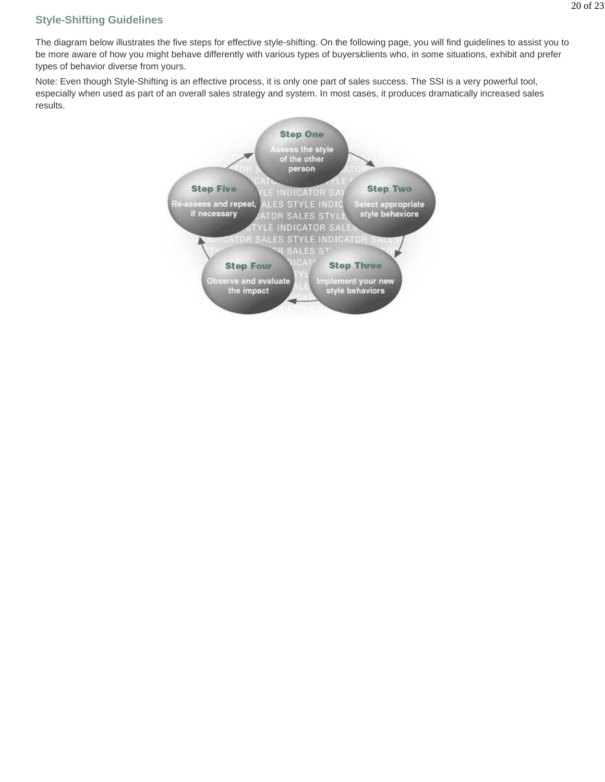### **Style-Shifting Guidelines**

The diagram below illustrates the five steps for effective style-shifting. On the following page, you will find guidelines to assist you to be more aware of how you might behave differently with various types of buyers/clients who, in some situations, exhibit and prefer types of behavior diverse from yours.

Note: Even though Style-Shifting is an effective process, it is only one part of sales success. The SSI is a very powerful tool, especially when used as part of an overall sales strategy and system. In most cases, it produces dramatically increased sales results.

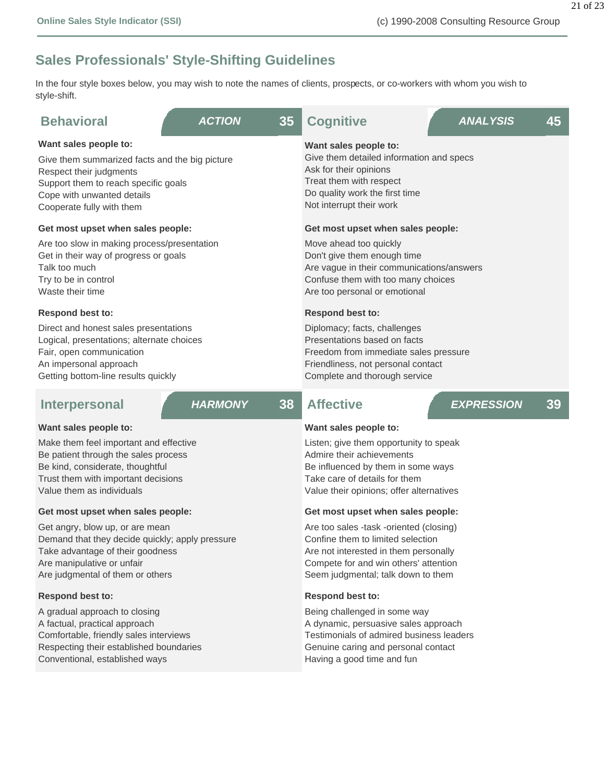## **Sales Professionals' Style-Shifting Guidelines**

In the four style boxes below, you may wish to note the names of clients, prospects, or co-workers with whom you wish to style-shift.

| <b>Behavioral</b>                                                                                                                                                                                     | <b>ACTION</b>  | 35 | <b>Cognitive</b>                                                                                                                                                                     | <b>ANALYSIS</b>   | 45 |  |
|-------------------------------------------------------------------------------------------------------------------------------------------------------------------------------------------------------|----------------|----|--------------------------------------------------------------------------------------------------------------------------------------------------------------------------------------|-------------------|----|--|
| Want sales people to:<br>Give them summarized facts and the big picture<br>Respect their judgments<br>Support them to reach specific goals<br>Cope with unwanted details<br>Cooperate fully with them |                |    | Want sales people to:<br>Give them detailed information and specs<br>Ask for their opinions<br>Treat them with respect<br>Do quality work the first time<br>Not interrupt their work |                   |    |  |
| Get most upset when sales people:                                                                                                                                                                     |                |    | Get most upset when sales people:                                                                                                                                                    |                   |    |  |
| Are too slow in making process/presentation<br>Get in their way of progress or goals<br>Talk too much<br>Try to be in control<br>Waste their time                                                     |                |    | Move ahead too quickly<br>Don't give them enough time<br>Are vague in their communications/answers<br>Confuse them with too many choices<br>Are too personal or emotional            |                   |    |  |
| <b>Respond best to:</b>                                                                                                                                                                               |                |    | <b>Respond best to:</b>                                                                                                                                                              |                   |    |  |
| Direct and honest sales presentations<br>Logical, presentations; alternate choices<br>Fair, open communication<br>An impersonal approach<br>Getting bottom-line results quickly                       |                |    | Diplomacy; facts, challenges<br>Presentations based on facts<br>Freedom from immediate sales pressure<br>Friendliness, not personal contact<br>Complete and thorough service         |                   |    |  |
| <b>Interpersonal</b>                                                                                                                                                                                  | <b>HARMONY</b> | 38 | <b>Affective</b>                                                                                                                                                                     | <b>EXPRESSION</b> | 39 |  |
| Want sales people to:                                                                                                                                                                                 |                |    | Want sales people to:                                                                                                                                                                |                   |    |  |

Make them feel important and effective Be patient through the sales process Be kind, considerate, thoughtful

Trust them with important decisions Value them as individuals

#### **Get most upset when sales people:**

Get angry, blow up, or are mean Demand that they decide quickly; apply pressure Take advantage of their goodness Are manipulative or unfair Are judgmental of them or others

#### **Respond best to:**

A gradual approach to closing A factual, practical approach Comfortable, friendly sales interviews Respecting their established boundaries Conventional, established ways

Listen; give them opportunity to speak Admire their achievements Be influenced by them in some ways Take care of details for them Value their opinions; offer alternatives

#### **Get most upset when sales people:**

Are too sales -task -oriented (closing) Confine them to limited selection Are not interested in them personally Compete for and win others' attention Seem judgmental; talk down to them

#### **Respond best to:**

Being challenged in some way A dynamic, persuasive sales approach Testimonials of admired business leaders Genuine caring and personal contact Having a good time and fun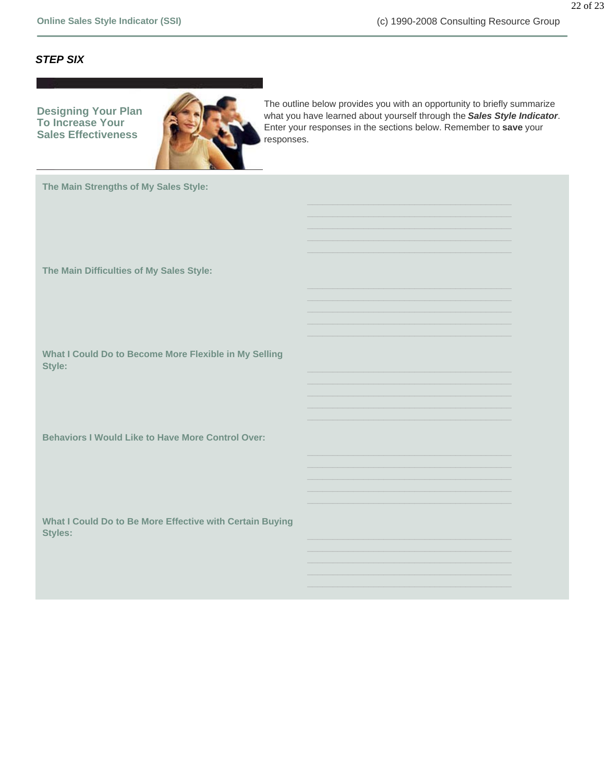#### *STEP SIX*

**Designing Your Plan To Increase Your Sales Effectiveness**



The outline below provides you with an opportunity to briefly summarize what you have learned about yourself through the *Sales Style Indicator*. Enter your responses in the sections below. Remember to **save** your responses.

**The Main Strengths of My Sales Style:**

**The Main Difficulties of My Sales Style:**

**What I Could Do to Become More Flexible in My Selling Style:** 

**Behaviors I Would Like to Have More Control Over:**

**What I Could Do to Be More Effective with Certain Buying Styles:**